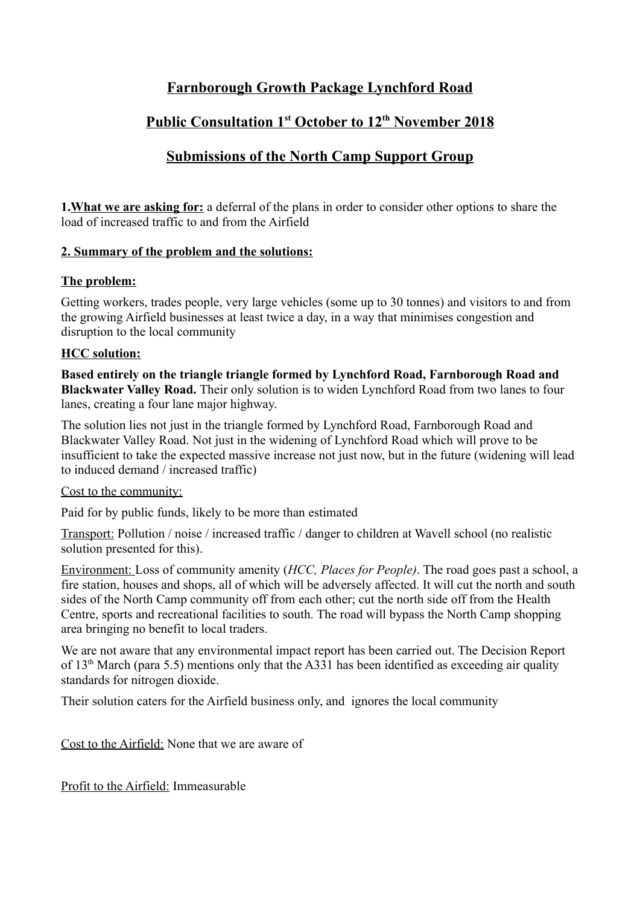# **Farnborough Growth Package Lynchford Road**

# **Public Consultation 1st October to 12th November 2018**

## **Submissions of the North Camp Support Group**

**1.What we are asking for:** a deferral of the plans in order to consider other options to share the load of increased traffic to and from the Airfield

### **2. Summary of the problem and the solutions:**

### **The problem:**

Getting workers, trades people, very large vehicles (some up to 30 tonnes) and visitors to and from the growing Airfield businesses at least twice a day, in a way that minimises congestion and disruption to the local community

### **HCC solution:**

**Based entirely on the triangle triangle formed by Lynchford Road, Farnborough Road and Blackwater Valley Road.** Their only solution is to widen Lynchford Road from two lanes to four lanes, creating a four lane major highway.

The solution lies not just in the triangle formed by Lynchford Road, Farnborough Road and Blackwater Valley Road. Not just in the widening of Lynchford Road which will prove to be insufficient to take the expected massive increase not just now, but in the future (widening will lead to induced demand / increased traffic)

#### Cost to the community:

Paid for by public funds, likely to be more than estimated

Transport: Pollution / noise / increased traffic / danger to children at Wavell school (no realistic solution presented for this).

Environment: Loss of community amenity (*HCC, Places for People)*. The road goes past a school, a fire station, houses and shops, all of which will be adversely affected. It will cut the north and south sides of the North Camp community off from each other; cut the north side off from the Health Centre, sports and recreational facilities to south. The road will bypass the North Camp shopping area bringing no benefit to local traders.

We are not aware that any environmental impact report has been carried out. The Decision Report of  $13<sup>th</sup>$  March (para 5.5) mentions only that the A331 has been identified as exceeding air quality standards for nitrogen dioxide.

Their solution caters for the Airfield business only, and ignores the local community

Cost to the Airfield: None that we are aware of

Profit to the Airfield: Immeasurable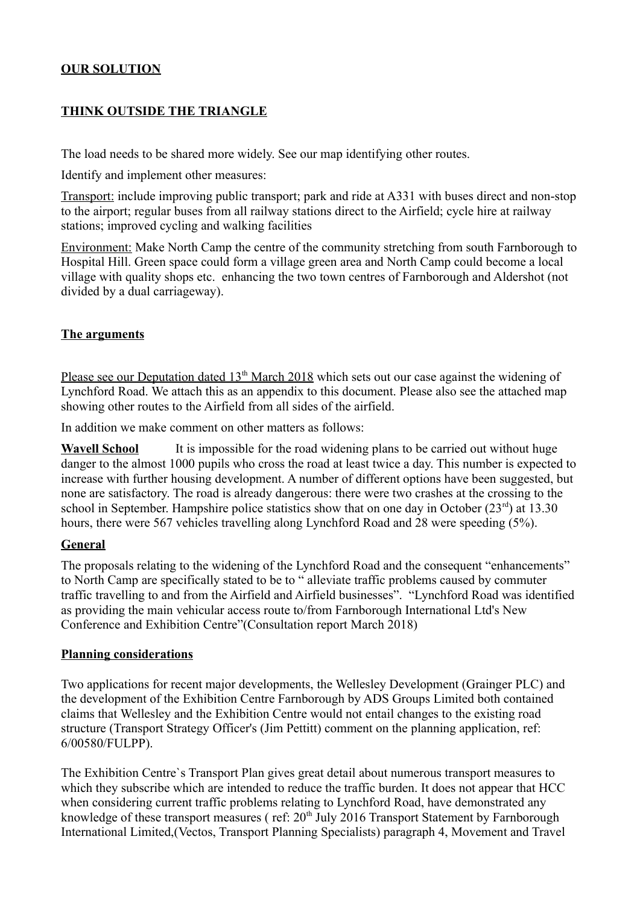## **OUR SOLUTION**

## **THINK OUTSIDE THE TRIANGLE**

The load needs to be shared more widely. See our map identifying other routes.

Identify and implement other measures:

Transport: include improving public transport; park and ride at A331 with buses direct and non-stop to the airport; regular buses from all railway stations direct to the Airfield; cycle hire at railway stations; improved cycling and walking facilities

Environment: Make North Camp the centre of the community stretching from south Farnborough to Hospital Hill. Green space could form a village green area and North Camp could become a local village with quality shops etc. enhancing the two town centres of Farnborough and Aldershot (not divided by a dual carriageway).

### **The arguments**

Please see our Deputation dated 13<sup>th</sup> March 2018 which sets out our case against the widening of Lynchford Road. We attach this as an appendix to this document. Please also see the attached map showing other routes to the Airfield from all sides of the airfield.

In addition we make comment on other matters as follows:

**Wavell School** It is impossible for the road widening plans to be carried out without huge danger to the almost 1000 pupils who cross the road at least twice a day. This number is expected to increase with further housing development. A number of different options have been suggested, but none are satisfactory. The road is already dangerous: there were two crashes at the crossing to the school in September. Hampshire police statistics show that on one day in October  $(23<sup>rd</sup>)$  at 13.30 hours, there were 567 vehicles travelling along Lynchford Road and 28 were speeding (5%).

### **General**

The proposals relating to the widening of the Lynchford Road and the consequent "enhancements" to North Camp are specifically stated to be to " alleviate traffic problems caused by commuter traffic travelling to and from the Airfield and Airfield businesses". "Lynchford Road was identified as providing the main vehicular access route to/from Farnborough International Ltd's New Conference and Exhibition Centre"(Consultation report March 2018)

#### **Planning considerations**

Two applications for recent major developments, the Wellesley Development (Grainger PLC) and the development of the Exhibition Centre Farnborough by ADS Groups Limited both contained claims that Wellesley and the Exhibition Centre would not entail changes to the existing road structure (Transport Strategy Officer's (Jim Pettitt) comment on the planning application, ref: 6/00580/FULPP).

The Exhibition Centre`s Transport Plan gives great detail about numerous transport measures to which they subscribe which are intended to reduce the traffic burden. It does not appear that HCC when considering current traffic problems relating to Lynchford Road, have demonstrated any knowledge of these transport measures (ref: 20<sup>th</sup> July 2016 Transport Statement by Farnborough International Limited,(Vectos, Transport Planning Specialists) paragraph 4, Movement and Travel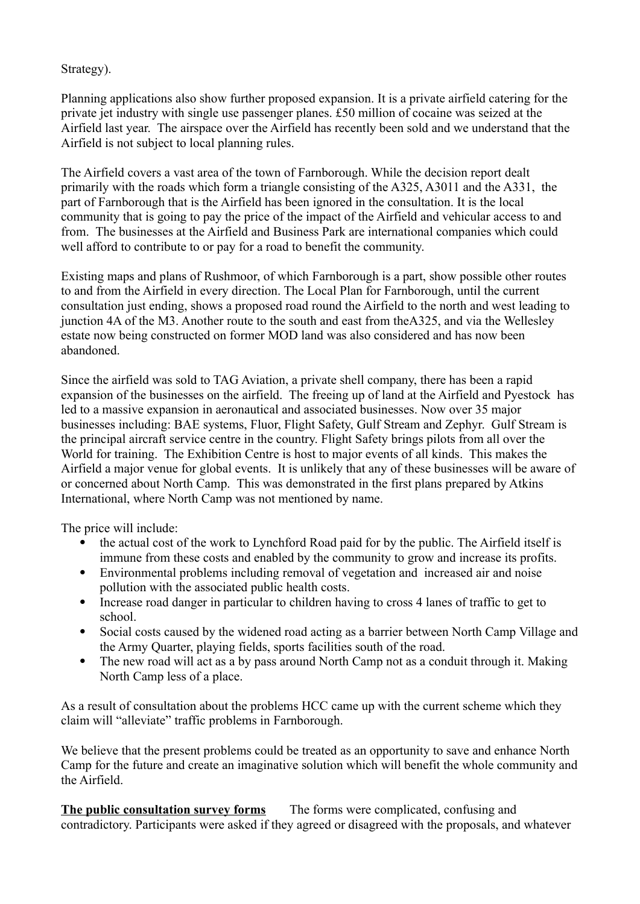### Strategy).

Planning applications also show further proposed expansion. It is a private airfield catering for the private jet industry with single use passenger planes. £50 million of cocaine was seized at the Airfield last year. The airspace over the Airfield has recently been sold and we understand that the Airfield is not subject to local planning rules.

The Airfield covers a vast area of the town of Farnborough. While the decision report dealt primarily with the roads which form a triangle consisting of the A325, A3011 and the A331, the part of Farnborough that is the Airfield has been ignored in the consultation. It is the local community that is going to pay the price of the impact of the Airfield and vehicular access to and from. The businesses at the Airfield and Business Park are international companies which could well afford to contribute to or pay for a road to benefit the community.

Existing maps and plans of Rushmoor, of which Farnborough is a part, show possible other routes to and from the Airfield in every direction. The Local Plan for Farnborough, until the current consultation just ending, shows a proposed road round the Airfield to the north and west leading to junction 4A of the M3. Another route to the south and east from theA325, and via the Wellesley estate now being constructed on former MOD land was also considered and has now been abandoned.

Since the airfield was sold to TAG Aviation, a private shell company, there has been a rapid expansion of the businesses on the airfield. The freeing up of land at the Airfield and Pyestock has led to a massive expansion in aeronautical and associated businesses. Now over 35 major businesses including: BAE systems, Fluor, Flight Safety, Gulf Stream and Zephyr. Gulf Stream is the principal aircraft service centre in the country. Flight Safety brings pilots from all over the World for training. The Exhibition Centre is host to major events of all kinds. This makes the Airfield a major venue for global events. It is unlikely that any of these businesses will be aware of or concerned about North Camp. This was demonstrated in the first plans prepared by Atkins International, where North Camp was not mentioned by name.

The price will include:

- the actual cost of the work to Lynchford Road paid for by the public. The Airfield itself is immune from these costs and enabled by the community to grow and increase its profits.
- Environmental problems including removal of vegetation and increased air and noise pollution with the associated public health costs.
- Increase road danger in particular to children having to cross 4 lanes of traffic to get to school.
- Social costs caused by the widened road acting as a barrier between North Camp Village and the Army Quarter, playing fields, sports facilities south of the road.
- The new road will act as a by pass around North Camp not as a conduit through it. Making North Camp less of a place.

As a result of consultation about the problems HCC came up with the current scheme which they claim will "alleviate" traffic problems in Farnborough.

We believe that the present problems could be treated as an opportunity to save and enhance North Camp for the future and create an imaginative solution which will benefit the whole community and the Airfield.

**The public consultation survey forms** The forms were complicated, confusing and contradictory. Participants were asked if they agreed or disagreed with the proposals, and whatever